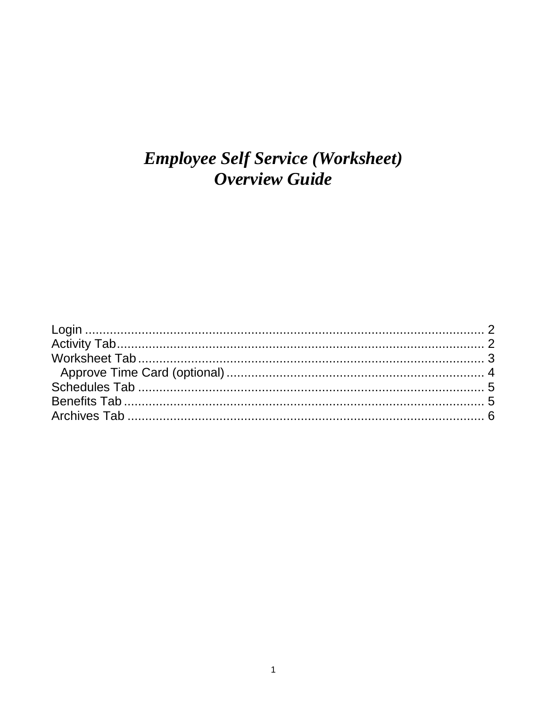# **Employee Self Service (Worksheet) Overview Guide**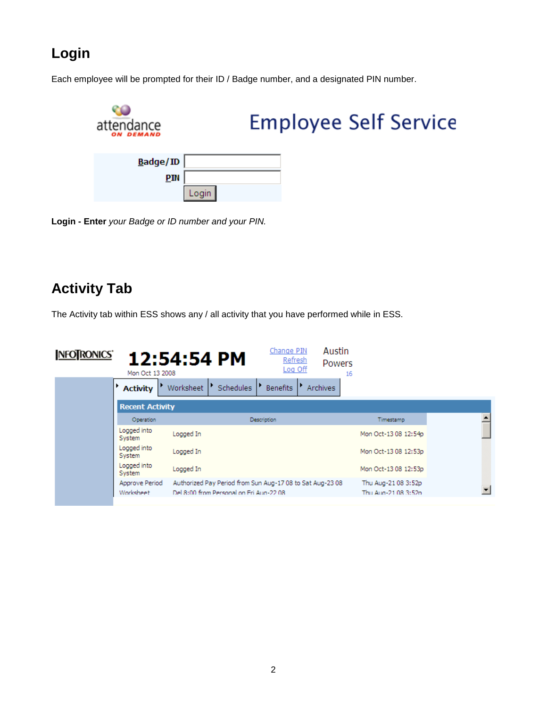## <span id="page-1-0"></span>**Login**

Each employee will be prompted for their ID / Badge number, and a designated PIN number.



**Login - Enter** *your Badge or ID number and your PIN.* 

### <span id="page-1-1"></span>**Activity Tab**

The Activity tab within ESS shows any / all activity that you have performed while in ESS.

| <b>INFOTRONICS</b> | Mon Oct 13 2008             | 12:54:54 PM                                                                                           | Change PIN<br><b>Refresh</b><br>Log Off | Austin<br>Powers<br>16 |                                            |  |
|--------------------|-----------------------------|-------------------------------------------------------------------------------------------------------|-----------------------------------------|------------------------|--------------------------------------------|--|
|                    | <b>Activity</b>             | Schedules<br>Worksheet                                                                                | <b>Benefits</b>                         | <b>Archives</b>        |                                            |  |
|                    | <b>Recent Activity</b>      |                                                                                                       |                                         |                        |                                            |  |
|                    | Operation                   |                                                                                                       | Description                             |                        | Timestamp                                  |  |
| System             | Logged into                 | Logged In                                                                                             |                                         |                        | Mon Oct-13 08 12:54p                       |  |
| System             | Logged into                 | Logged In                                                                                             |                                         |                        | Mon Oct-13 08 12:53p                       |  |
| System             | Logged into                 | Logged In                                                                                             |                                         |                        | Mon Oct-13 08 12:53p                       |  |
|                    | Approve Period<br>Worksheet | Authorized Pay Period from Sun Aug-17 08 to Sat Aug-23 08<br>Del 8:00 from Personal on Fri Aug-22.08. |                                         |                        | Thu Aug-21 08 3:52p<br>Thu Aug-21.08.3:52p |  |
|                    |                             |                                                                                                       |                                         |                        |                                            |  |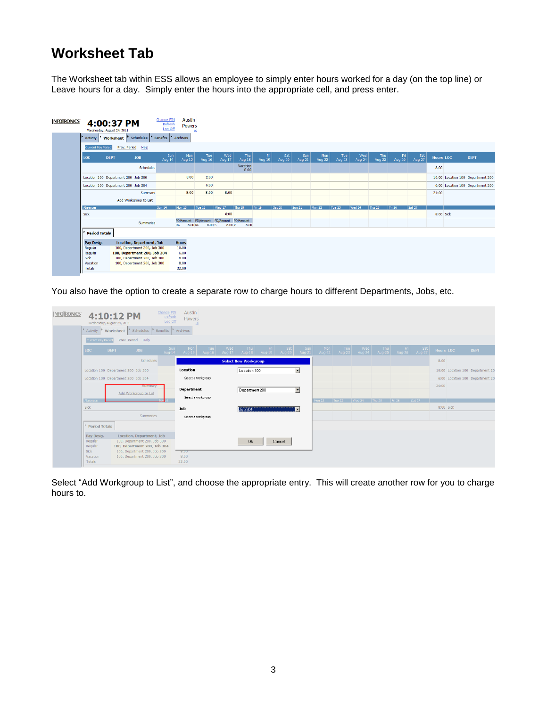### <span id="page-2-0"></span>**Worksheet Tab**

The Worksheet tab within ESS allows an employee to simply enter hours worked for a day (on the top line) or Leave hours for a day. Simply enter the hours into the appropriate cell, and press enter.

| NFOTRONICS' | Activity                                 | 4:00:37 PM<br>Wednesday, August 24, 2011<br>Worksheet        | <b>Change PIN</b><br>Refresh<br>Log Off<br>Schedules Benefits | <b>Austin</b><br><b>Powers</b><br>Archives | 16 <sub>1</sub> |                                                  |                  |               |               |               |        |               |               |               |                 |               |                  |                                   |
|-------------|------------------------------------------|--------------------------------------------------------------|---------------------------------------------------------------|--------------------------------------------|-----------------|--------------------------------------------------|------------------|---------------|---------------|---------------|--------|---------------|---------------|---------------|-----------------|---------------|------------------|-----------------------------------|
|             | <b>Current Pay Period</b>                | Prev. Period<br>Help                                         |                                                               |                                            |                 |                                                  |                  |               |               |               |        |               |               |               |                 |               |                  |                                   |
|             | LOC                                      | <b>DEPT</b><br><b>JOB</b>                                    | Sun<br>Aug-14                                                 | Mon<br>Aug-15                              | Tue<br>Aug-16   | <b>Wed</b><br>Aug-17                             | Thu<br>Aug-18    | Fri<br>Aug-19 | Sat<br>Aug-20 | Sun<br>Aug-21 | $M$ on | Tue<br>Aug-23 | Wed<br>Aug-24 | Thu<br>Aug-25 | Fri<br>  Aug-26 | Sat<br>Aug-27 | <b>Hours LOC</b> | <b>DEPT</b>                       |
|             |                                          |                                                              | Schedules                                                     |                                            |                 |                                                  | Vacation<br>8.00 |               |               |               |        |               |               |               |                 |               | 8.00             |                                   |
|             |                                          | Location 100 Department 200 Job 300                          |                                                               | 8:00                                       | 2:00            |                                                  |                  |               |               |               |        |               |               |               |                 |               |                  | 10:00 Location 100 Department 200 |
|             |                                          | Location 100 Department 200 Job 304                          |                                                               |                                            | 6:00            |                                                  |                  |               |               |               |        |               |               |               |                 |               |                  | 6:00 Location 100 Department 200  |
|             |                                          |                                                              | Summary                                                       | 8:00                                       | 8:00            | 8:00                                             |                  |               |               |               |        |               |               |               |                 |               | 24:00            |                                   |
|             |                                          | Add Workgroup to List                                        |                                                               |                                            |                 |                                                  |                  |               |               |               |        |               |               |               |                 |               |                  |                                   |
|             | Absences                                 |                                                              | <b>Sun 14</b>                                                 | Mon 15                                     | Tue 16          | Wed 17                                           | Thu $18$         | Fri 19        | Sat 20        | Sun 21        | Mon 22 | Tue 23        | Wed 24        | Thu 25        | Fri 26          | Sat 27        |                  |                                   |
|             | Sick                                     |                                                              |                                                               |                                            |                 | 8:00                                             |                  |               |               |               |        |               |               |               |                 |               | 8:00 Sick        |                                   |
|             |                                          |                                                              | Summaries                                                     | 8.00 RG<br>RG                              | 8.00 S          | PD/Amount PD/Amount PD/Amount PD/Amount<br>8.00V | 8.00             |               |               |               |        |               |               |               |                 |               |                  |                                   |
|             | <b>Period Totals</b>                     |                                                              |                                                               |                                            |                 |                                                  |                  |               |               |               |        |               |               |               |                 |               |                  |                                   |
|             | Pay Desig.                               | Location, Department, Job                                    |                                                               | <b>Hours</b>                               |                 |                                                  |                  |               |               |               |        |               |               |               |                 |               |                  |                                   |
|             | Regular                                  | 100, Department 200, Job 300                                 |                                                               | 10.00                                      |                 |                                                  |                  |               |               |               |        |               |               |               |                 |               |                  |                                   |
|             | Regular                                  | 100, Department 200, Job 304                                 |                                                               | 6.00                                       |                 |                                                  |                  |               |               |               |        |               |               |               |                 |               |                  |                                   |
|             | <b>Sick</b><br>Vacation<br><b>Totals</b> | 100, Department 200, Job 300<br>100, Department 200, Job 300 |                                                               | 8.00<br>8.00<br>32.00                      |                 |                                                  |                  |               |               |               |        |               |               |               |                 |               |                  |                                   |

You also have the option to create a separate row to charge hours to different Departments, Jobs, etc.

| <b>NFOTRONICS</b> | Wednesday, August 24, 2011                                     | 4:10:12 PM                                                                                                                                                | Change PIN<br>Refresh<br>Log Off                               | Austin<br>Powers<br>16            |                 |                                                |        |                          |              |                 |                                            |  |                                     |                  |                                  |
|-------------------|----------------------------------------------------------------|-----------------------------------------------------------------------------------------------------------------------------------------------------------|----------------------------------------------------------------|-----------------------------------|-----------------|------------------------------------------------|--------|--------------------------|--------------|-----------------|--------------------------------------------|--|-------------------------------------|------------------|----------------------------------|
|                   | Activity                                                       | Schedules   Benefits   Archives<br>Worksheet                                                                                                              |                                                                |                                   |                 |                                                |        |                          |              |                 |                                            |  |                                     |                  |                                  |
|                   | <b>Current Pay Period</b>                                      | Prev. Period<br>Help                                                                                                                                      |                                                                |                                   |                 |                                                |        |                          |              |                 |                                            |  |                                     |                  |                                  |
|                   | LOC .<br><b>DEPT</b>                                           | JOB                                                                                                                                                       | $\begin{array}{c c}\n\text{Sun} \\ \text{Aug-14}\n\end{array}$ | Mon Tue<br>Aug-15 Aug-16          | $Wed$<br>Aug-17 | Thu Fri Sat Sun<br>Aug-18 Aug-19 Aug-20 Aug-21 |        |                          | $Mon$ Aug-22 | $Tue$<br>Aug-23 | Wed<br>Aug-24                              |  | Thu Fri Sat<br>Aug-25 Aug-26 Aug-27 | <b>Hours LOC</b> | <b>DEPT</b>                      |
|                   |                                                                | Schedules                                                                                                                                                 |                                                                |                                   |                 | <b>Select New Workgroup</b>                    |        |                          |              |                 |                                            |  |                                     | 8.00             |                                  |
|                   |                                                                | Location 100 Department 200 Job 300                                                                                                                       |                                                                | Location                          |                 | Location 100                                   |        | $\overline{\phantom{a}}$ |              |                 |                                            |  |                                     |                  | 10:00 Location 100 Department 20 |
|                   |                                                                | Location 100 Department 200 Job 304                                                                                                                       |                                                                | Select a workgroup.               |                 |                                                |        |                          |              |                 |                                            |  |                                     |                  | 6:00 Location 100 Department 20  |
|                   |                                                                | summary<br>Add Workgroup to List                                                                                                                          |                                                                | Department<br>Select a workgroup. |                 | Department 200                                 |        | $\blacktriangledown$     |              |                 |                                            |  |                                     | 24:00            |                                  |
|                   | Absences<br>Sick                                               |                                                                                                                                                           |                                                                |                                   |                 |                                                |        |                          |              |                 | Mon 22   Tue 23   Wed 24   Thu 25   Fri 26 |  | Sat 27                              | 8:00 Sick        |                                  |
|                   | Period Totals                                                  | Summaries                                                                                                                                                 |                                                                | Job<br>Select a workgroup.        |                 | Job 304                                        | ∣-∣    |                          |              |                 |                                            |  |                                     |                  |                                  |
|                   | Pay Desig.<br>Regular<br>Regular<br>Sick<br>Vacation<br>Totals | Location, Department, Job<br>100, Department 200, Job 300<br>100, Department 200, Job 304<br>100, Department 200, Job 300<br>100, Department 200, Job 300 |                                                                | $-8.00$<br>8.00<br>32.00          |                 | 0k                                             | Cancel |                          |              |                 |                                            |  |                                     |                  |                                  |

Select "Add Workgroup to List", and choose the appropriate entry. This will create another row for you to charge hours to.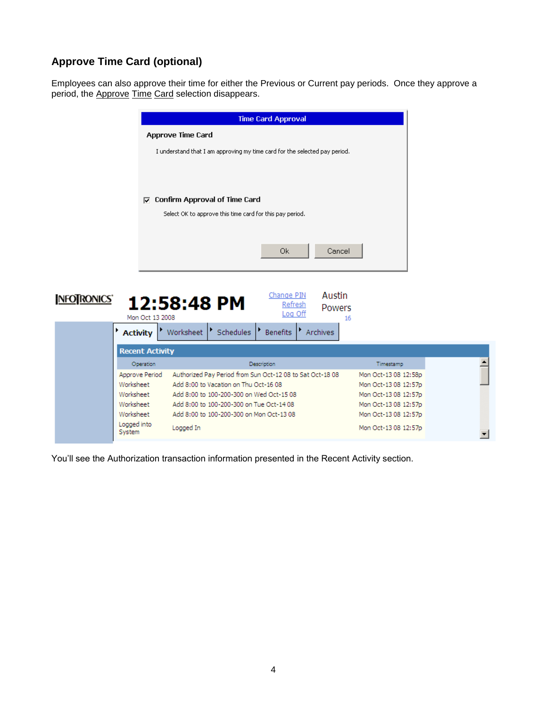#### <span id="page-3-0"></span>**Approve Time Card (optional)**

Employees can also approve their time for either the Previous or Current pay periods. Once they approve a period, the Approve Time Card selection disappears.

|                                | <b>Time Card Approval</b>                                                            |                                              |
|--------------------------------|--------------------------------------------------------------------------------------|----------------------------------------------|
|                                | <b>Approve Time Card</b>                                                             |                                              |
|                                | I understand that I am approving my time card for the selected pay period.           |                                              |
|                                |                                                                                      |                                              |
|                                |                                                                                      |                                              |
| ⊽                              | <b>Confirm Approval of Time Card</b>                                                 |                                              |
|                                | Select OK to approve this time card for this pay period.                             |                                              |
|                                |                                                                                      |                                              |
|                                | <b>Ok</b><br>Cancel                                                                  |                                              |
|                                |                                                                                      |                                              |
| NFOTRONICS'<br>Mon Oct 13 2008 | Austin<br>Change PIN<br>12:58:48 PM<br>Refresh<br>Powers<br>Log Off                  |                                              |
|                                |                                                                                      | 16                                           |
| <b>Activity</b>                | $\triangleright$ Schedules<br>Worksheet<br>Benefits<br>Archives                      |                                              |
| <b>Recent Activity</b>         |                                                                                      |                                              |
| Operation                      | Description                                                                          | Timestamp                                    |
| Approve Period                 | Authorized Pay Period from Sun Oct-12 08 to Sat Oct-18 08                            | Mon Oct-13 08 12:58p                         |
| Worksheet                      | Add 8:00 to Vacation on Thu Oct-16 08                                                | Mon Oct-13 08 12:57p                         |
| Worksheet<br>Worksheet         | Add 8:00 to 100-200-300 on Wed Oct-15 08<br>Add 8:00 to 100-200-300 on Tue Oct-14 08 | Mon Oct-13 08 12:57p<br>Mon Oct-13 08 12:57p |
| Worksheet                      | Add 8:00 to 100-200-300 on Mon Oct-13 08                                             | Mon Oct-13 08 12:57p                         |

You'll see the Authorization transaction information presented in the Recent Activity section.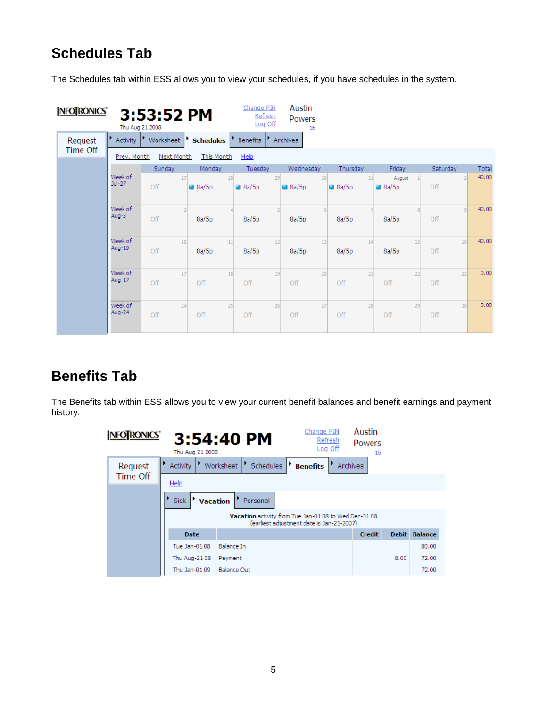### <span id="page-4-0"></span>**Schedules Tab**

The Schedules tab within ESS allows you to view your schedules, if you have schedules in the system.

| NFOTRONICS' |                     | 3:53:52 PM<br>Thu Aug 21 2008 |                  |                  |    | Change PIN<br>Refresh<br>Log Off |    | Austin<br><b>Powers</b><br>16 |    |                 |    |                           |    |          |         |       |
|-------------|---------------------|-------------------------------|------------------|------------------|----|----------------------------------|----|-------------------------------|----|-----------------|----|---------------------------|----|----------|---------|-------|
| Request     | Activity            | Worksheet                     | ٠                | <b>Schedules</b> |    | <b>Benefits</b>                  |    | <b>Archives</b>               |    |                 |    |                           |    |          |         |       |
| Time Off    | Prev. Month         | Next Month                    |                  | This Month       |    | Help                             |    |                               |    |                 |    |                           |    |          |         |       |
|             |                     | Sunday                        |                  | Monday           |    | Tuesday                          |    | Wednesday                     |    | Thursday        |    | Friday                    |    | Saturday |         | Total |
|             | Week of<br>$Jul-27$ | Off                           | 27               | $\bigcirc$ 8a/5p | 28 | $\bullet$ 8a/5p                  | 29 | $\bigcirc$ 8a/5p              | 30 | $\bullet$ 8a/5p | 31 | August<br>$\bullet$ 8a/5p |    | Off      |         | 40.00 |
|             | Week of<br>Aug-3    | Off                           |                  | 8a/5p            |    | 8a/5p                            |    | 8a/5p                         |    | 8a/5p           |    | 8a/5p                     |    | Off      | $\circ$ | 40.00 |
|             | Week of<br>Aug-10   | Off                           | 10 <sub>10</sub> | 8a/5p            | 11 | 8a/5p                            | 12 | 8a/5p                         | 13 | 8a/5p           | 14 | 8a/5p                     | 15 | Off      | 16      | 40.00 |
|             | Week of<br>Aug-17   | Off                           | 17               | Off              | 18 | Off                              | 19 | Off                           | 20 | Off             | 21 | Off                       | 22 | Off      | 23      | 0.00  |
|             | Week of<br>Aug-24   | Off                           | 24               | Off              | 25 | Off                              | 26 | Off                           | 27 | Off             | 28 | Off                       | 29 | Off      | 30      | 0.00  |

### <span id="page-4-1"></span>**Benefits Tab**

The Benefits tab within ESS allows you to view your current benefit balances and benefit earnings and payment history.

| <b>NFOTRONICS</b> | Thu Aug 21 2008         | 3:54:40 PM                  | Change PIN<br>Refresh<br>Log Off                                                                 | Austin<br><b>Powers</b><br>16 |      |               |
|-------------------|-------------------------|-----------------------------|--------------------------------------------------------------------------------------------------|-------------------------------|------|---------------|
| Request           | Activity                | ▶<br>Schedules<br>Worksheet | Archives<br><b>Benefits</b>                                                                      |                               |      |               |
| Time Off          | Help                    |                             |                                                                                                  |                               |      |               |
|                   | <b>Vacation</b><br>Sick | Personal                    |                                                                                                  |                               |      |               |
|                   |                         |                             | Vacation activity from Tue Jan-0108 to Wed Dec-3108<br>(earliest adjustment date is Jan-21-2007) |                               |      |               |
|                   | <b>Date</b>             |                             |                                                                                                  | Credit                        |      | Debit Balance |
|                   | Tue Jan-0108            | <b>Balance In</b>           |                                                                                                  |                               |      | 80.00         |
|                   | Thu Aug-2108            | Payment                     |                                                                                                  |                               | 8.00 | 72.00         |
|                   | Thu Jan-0109            | <b>Balance Out</b>          |                                                                                                  |                               |      | 72.00         |